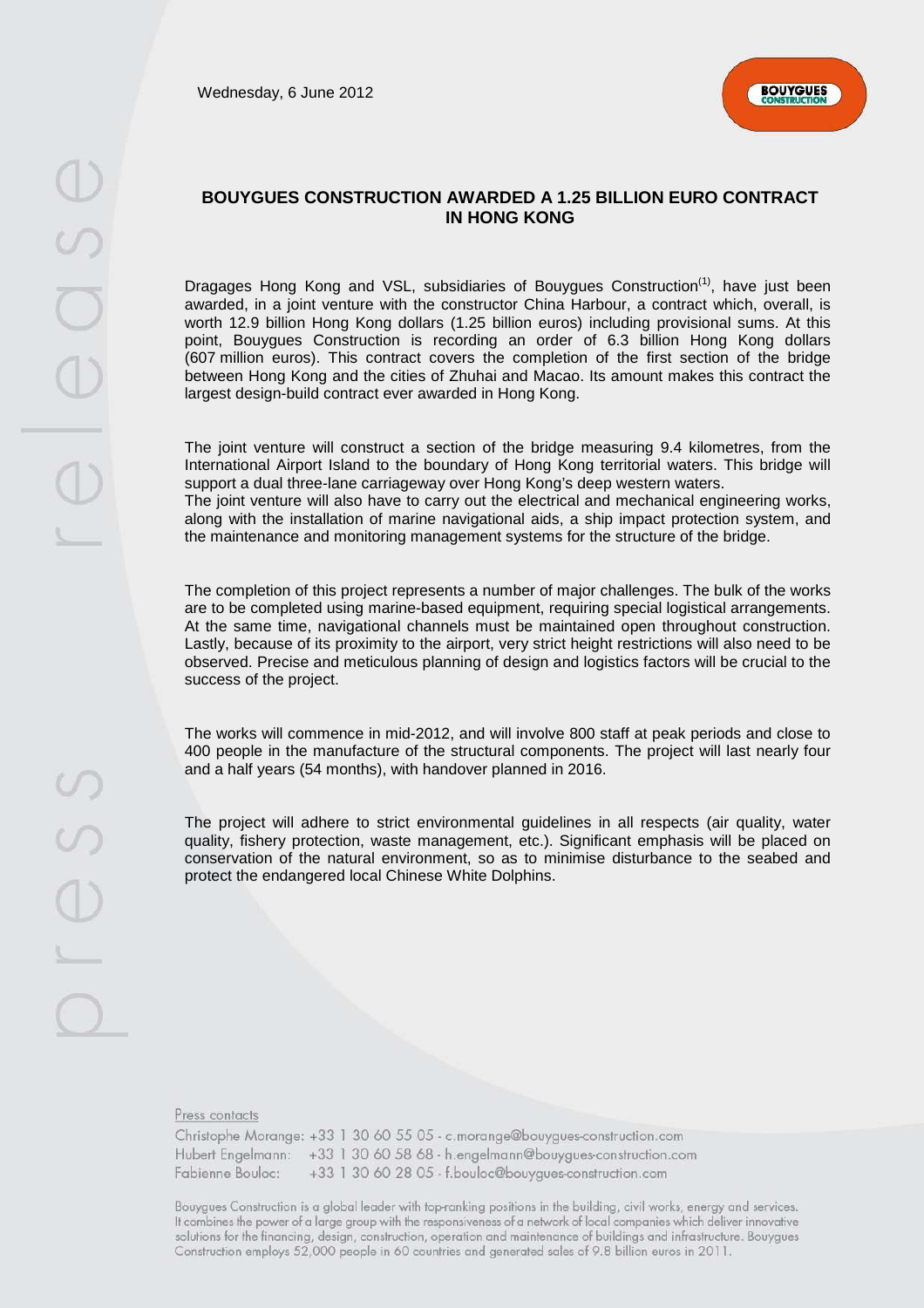Wednesday, 6 June 2012



## **BOUYGUES CONSTRUCTION AWARDED A 1.25 BILLION EURO CONTRACT IN HONG KONG**

Dragages Hong Kong and VSL, subsidiaries of Bouygues Construction<sup>(1)</sup>, have just been awarded, in a joint venture with the constructor China Harbour, a contract which, overall, is worth 12.9 billion Hong Kong dollars (1.25 billion euros) including provisional sums. At this point, Bouygues Construction is recording an order of 6.3 billion Hong Kong dollars (607 million euros). This contract covers the completion of the first section of the bridge between Hong Kong and the cities of Zhuhai and Macao. Its amount makes this contract the largest design-build contract ever awarded in Hong Kong.

The joint venture will construct a section of the bridge measuring 9.4 kilometres, from the International Airport Island to the boundary of Hong Kong territorial waters. This bridge will support a dual three-lane carriageway over Hong Kong's deep western waters. The joint venture will also have to carry out the electrical and mechanical engineering works,

along with the installation of marine navigational aids, a ship impact protection system, and the maintenance and monitoring management systems for the structure of the bridge.

The completion of this project represents a number of major challenges. The bulk of the works are to be completed using marine-based equipment, requiring special logistical arrangements. At the same time, navigational channels must be maintained open throughout construction. Lastly, because of its proximity to the airport, very strict height restrictions will also need to be observed. Precise and meticulous planning of design and logistics factors will be crucial to the success of the project.

The works will commence in mid-2012, and will involve 800 staff at peak periods and close to 400 people in the manufacture of the structural components. The project will last nearly four and a half years (54 months), with handover planned in 2016.

The project will adhere to strict environmental guidelines in all respects (air quality, water quality, fishery protection, waste management, etc.). Significant emphasis will be placed on conservation of the natural environment, so as to minimise disturbance to the seabed and protect the endangered local Chinese White Dolphins.

Press contacts

Christophe Morange: +33 1 30 60 55 05 - c.morange@bouygues-construction.com Hubert Engelmann: +33 1 30 60 58 68 - h.engelmann@bouygues-construction.com +33 1 30 60 28 05 - f.bouloc@bouygues-construction.com Fabienne Bouloc:

Bouygues Construction is a global leader with top-ranking positions in the building, civil works, energy and services. It combines the power of a large group with the responsiveness of a network of local companies which deliver innovative solutions for the financing, design, construction, operation and maintenance of buildings and infrastructure. Bouygues Construction employs 52,000 people in 60 countries and generated sales of 9.8 billion euros in 2011.